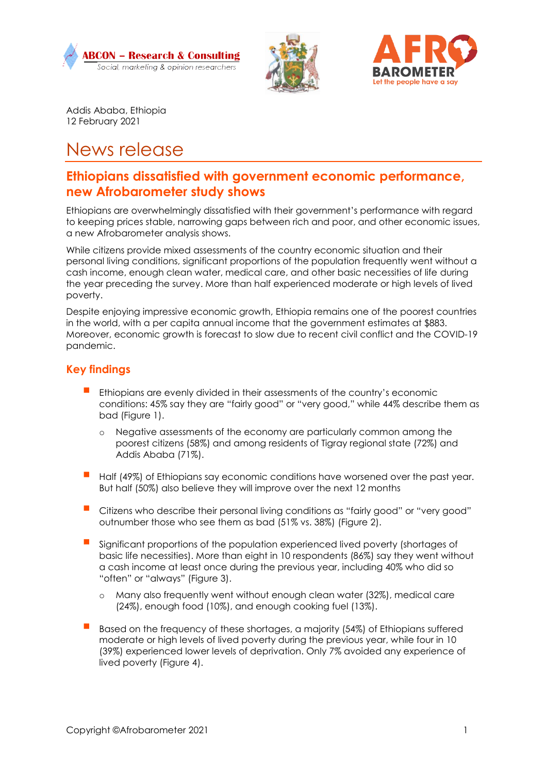





Addis Ababa, Ethiopia 12 February 2021

# News release

# **Ethiopians dissatisfied with government economic performance, new Afrobarometer study shows**

Ethiopians are overwhelmingly dissatisfied with their government's performance with regard to keeping prices stable, narrowing gaps between rich and poor, and other economic issues, a new Afrobarometer analysis shows.

While citizens provide mixed assessments of the country economic situation and their personal living conditions, significant proportions of the population frequently went without a cash income, enough clean water, medical care, and other basic necessities of life during the year preceding the survey. More than half experienced moderate or high levels of lived poverty.

Despite enjoying impressive economic growth, Ethiopia remains one of the poorest countries in the world, with a per capita annual income that the government estimates at \$883. Moreover, economic growth is forecast to slow due to recent civil conflict and the COVID-19 pandemic.

# **Key findings**

- Ethiopians are evenly divided in their assessments of the country's economic conditions: 45% say they are "fairly good" or "very good," while 44% describe them as bad (Figure 1).
	- o Negative assessments of the economy are particularly common among the poorest citizens (58%) and among residents of Tigray regional state (72%) and Addis Ababa (71%).
- Half (49%) of Ethiopians say economic conditions have worsened over the past year. But half (50%) also believe they will improve over the next 12 months
- Citizens who describe their personal living conditions as "fairly good" or "very good" outnumber those who see them as bad (51% vs. 38%) (Figure 2).
- Significant proportions of the population experienced lived poverty (shortages of basic life necessities). More than eight in 10 respondents (86%) say they went without a cash income at least once during the previous year, including 40% who did so "often" or "always" (Figure 3).
	- o Many also frequently went without enough clean water (32%), medical care (24%), enough food (10%), and enough cooking fuel (13%).
- Based on the frequency of these shortages, a majority (54%) of Ethiopians suffered moderate or high levels of lived poverty during the previous year, while four in 10 (39%) experienced lower levels of deprivation. Only 7% avoided any experience of lived poverty (Figure 4).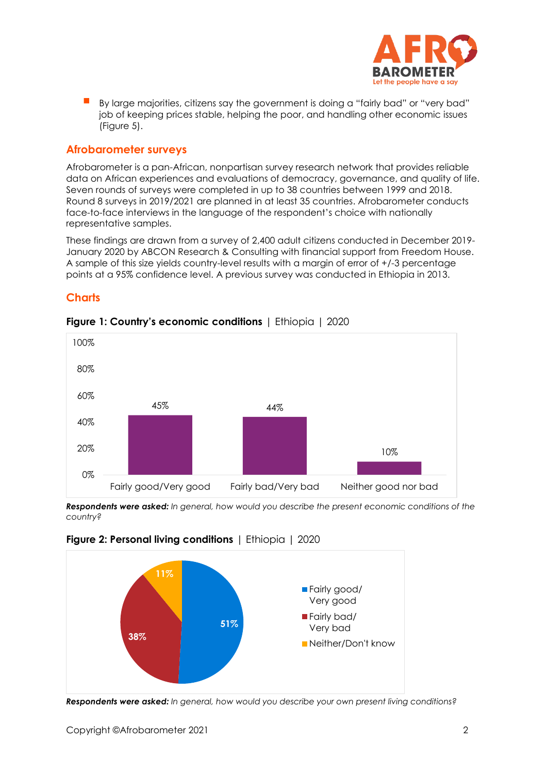

 By large majorities, citizens say the government is doing a "fairly bad" or "very bad" job of keeping prices stable, helping the poor, and handling other economic issues (Figure 5).

#### **Afrobarometer surveys**

Afrobarometer is a pan-African, nonpartisan survey research network that provides reliable data on African experiences and evaluations of democracy, governance, and quality of life. Seven rounds of surveys were completed in up to 38 countries between 1999 and 2018. Round 8 surveys in 2019/2021 are planned in at least 35 countries. Afrobarometer conducts face-to-face interviews in the language of the respondent's choice with nationally representative samples.

These findings are drawn from a survey of 2,400 adult citizens conducted in December 2019- January 2020 by ABCON Research & Consulting with financial support from Freedom House. A sample of this size yields country-level results with a margin of error of +/-3 percentage points at a 95% confidence level. A previous survey was conducted in Ethiopia in 2013.

### **Charts**



#### **Figure 1: Country's economic conditions** | Ethiopia | 2020

*Respondents were asked: In general, how would you describe the present economic conditions of the country?*



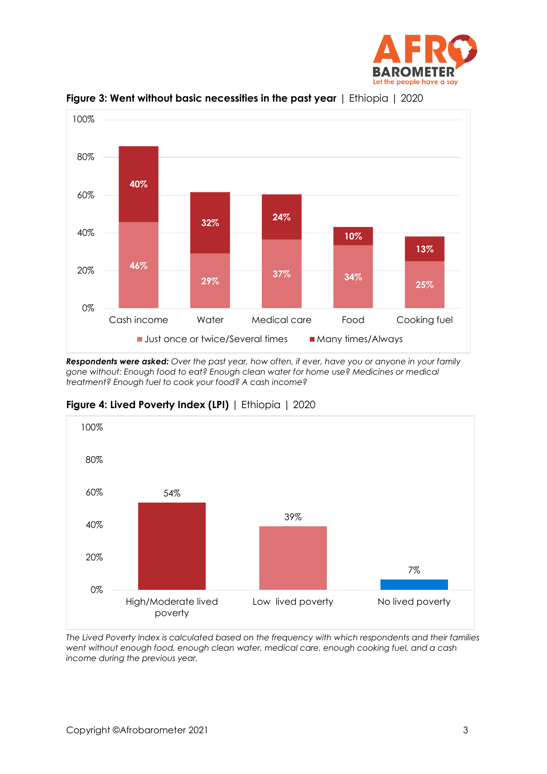



**Figure 3: Went without basic necessities in the past year** | Ethiopia | 2020

*Respondents were asked: Over the past year, how often, if ever, have you or anyone in your family gone without: Enough food to eat? Enough clean water for home use? Medicines or medical treatment? Enough fuel to cook your food? A cash income?* 

**Figure 4: Lived Poverty Index (LPI)** | Ethiopia | 2020



*The Lived Poverty Index is calculated based on the frequency with which respondents and their families went without enough food, enough clean water, medical care, enough cooking fuel, and a cash income during the previous year.*